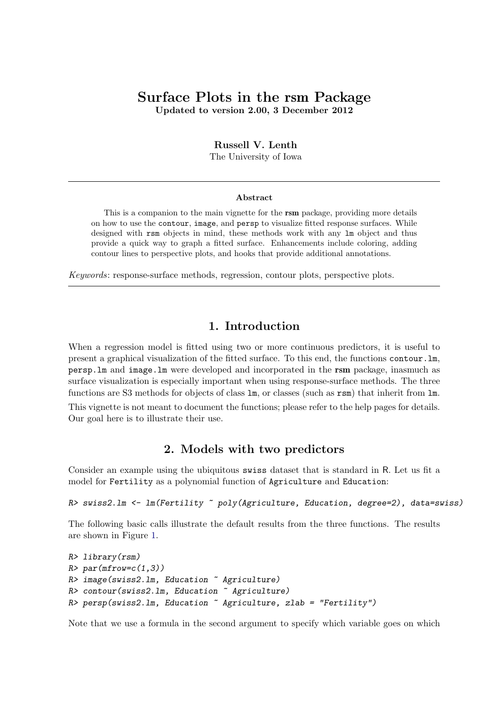# <span id="page-0-0"></span>Surface Plots in the rsm Package

Updated to version 2.00, 3 December 2012

#### Russell V. Lenth

The University of Iowa

#### Abstract

This is a companion to the main vignette for the **rsm** package, providing more details on how to use the contour, image, and persp to visualize fitted response surfaces. While designed with rsm objects in mind, these methods work with any lm object and thus provide a quick way to graph a fitted surface. Enhancements include coloring, adding contour lines to perspective plots, and hooks that provide additional annotations.

Keywords: response-surface methods, regression, contour plots, perspective plots.

#### 1. Introduction

When a regression model is fitted using two or more continuous predictors, it is useful to present a graphical visualization of the fitted surface. To this end, the functions contour.lm, persp.lm and image.lm were developed and incorporated in the rsm package, inasmuch as surface visualization is especially important when using response-surface methods. The three functions are S3 methods for objects of class lm, or classes (such as rsm) that inherit from lm.

This vignette is not meant to document the functions; please refer to the help pages for details. Our goal here is to illustrate their use.

### 2. Models with two predictors

Consider an example using the ubiquitous swiss dataset that is standard in R. Let us fit a model for Fertility as a polynomial function of Agriculture and Education:

```
R> swiss2.lm <- lm(Fertility ~ poly(Agriculture, Education, degree=2), data=swiss)
```
The following basic calls illustrate the default results from the three functions. The results are shown in Figure [1.](#page-1-0)

```
R> library(rsm)
R > par(mfrow=c(1,3))R> image(swiss2.lm, Education ~ Agriculture)
R> contour(swiss2.lm, Education ~ Agriculture)
R> persp(swiss2.lm, Education ~ Agriculture, zlab = "Fertility")
```
Note that we use a formula in the second argument to specify which variable goes on which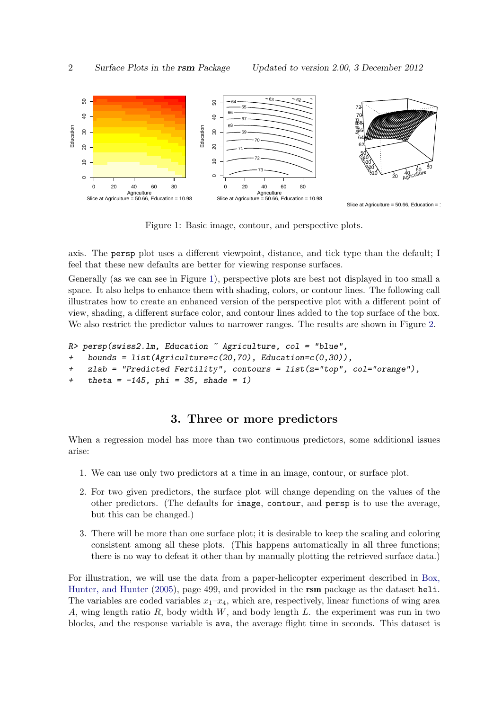

<span id="page-1-0"></span>Figure 1: Basic image, contour, and perspective plots.

axis. The persp plot uses a different viewpoint, distance, and tick type than the default; I feel that these new defaults are better for viewing response surfaces.

Generally (as we can see in Figure [1\)](#page-1-0), perspective plots are best not displayed in too small a space. It also helps to enhance them with shading, colors, or contour lines. The following call illustrates how to create an enhanced version of the perspective plot with a different point of view, shading, a different surface color, and contour lines added to the top surface of the box. We also restrict the predictor values to narrower ranges. The results are shown in Figure [2.](#page-2-0)

```
R persp(swiss2.1m, Education \tilde{a} Agriculture, col = "blue",
```

```
+ bounds = list(Agriculture=c(20,70), Education=c(0,30)),
```
- $+$  zlab = "Predicted Fertility", contours = list(z="top", col="orange"),
- $+$  theta =  $-145$ , phi = 35, shade = 1)

### 3. Three or more predictors

When a regression model has more than two continuous predictors, some additional issues arise:

- 1. We can use only two predictors at a time in an image, contour, or surface plot.
- 2. For two given predictors, the surface plot will change depending on the values of the other predictors. (The defaults for image, contour, and persp is to use the average, but this can be changed.)
- 3. There will be more than one surface plot; it is desirable to keep the scaling and coloring consistent among all these plots. (This happens automatically in all three functions; there is no way to defeat it other than by manually plotting the retrieved surface data.)

For illustration, we will use the data from a paper-helicopter experiment described in [Box,](#page-6-0) [Hunter, and Hunter](#page-6-0) [\(2005\)](#page-6-0), page 499, and provided in the rsm package as the dataset heli. The variables are coded variables  $x_1-x_4$ , which are, respectively, linear functions of wing area A, wing length ratio R, body width  $W$ , and body length L. the experiment was run in two blocks, and the response variable is ave, the average flight time in seconds. This dataset is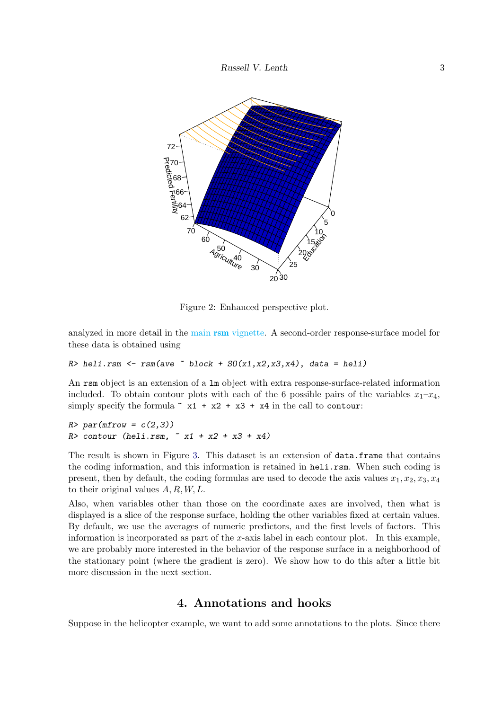

<span id="page-2-0"></span>Figure 2: Enhanced perspective plot.

analyzed in more detail in the main rsm [vignette.](#page-0-0) A second-order response-surface model for these data is obtained using

 $R$ > heli.rsm <- rsm(ave  $\tilde{b}$  block + SO(x1,x2,x3,x4), data = heli)

An rsm object is an extension of a lm object with extra response-surface-related information included. To obtain contour plots with each of the 6 possible pairs of the variables  $x_1-x_4$ , simply specify the formula  $x + x^2 + x^3 + x^4$  in the call to contour:

 $R$ > par(mfrow =  $c(2,3)$ )  $R$ > contour (heli.rsm,  $x1 + x2 + x3 + x4$ )

The result is shown in Figure [3.](#page-3-0) This dataset is an extension of data.frame that contains the coding information, and this information is retained in heli.rsm. When such coding is present, then by default, the coding formulas are used to decode the axis values  $x_1, x_2, x_3, x_4$ to their original values  $A, R, W, L$ .

Also, when variables other than those on the coordinate axes are involved, then what is displayed is a slice of the response surface, holding the other variables fixed at certain values. By default, we use the averages of numeric predictors, and the first levels of factors. This information is incorporated as part of the x-axis label in each contour plot. In this example, we are probably more interested in the behavior of the response surface in a neighborhood of the stationary point (where the gradient is zero). We show how to do this after a little bit more discussion in the next section.

### 4. Annotations and hooks

Suppose in the helicopter example, we want to add some annotations to the plots. Since there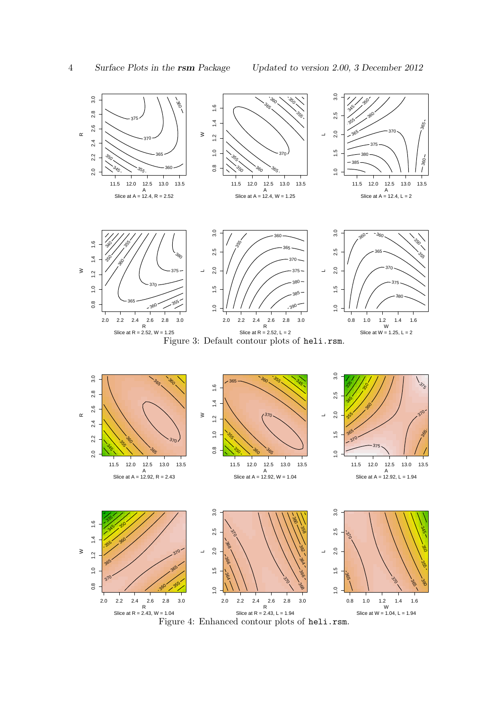<span id="page-3-1"></span><span id="page-3-0"></span>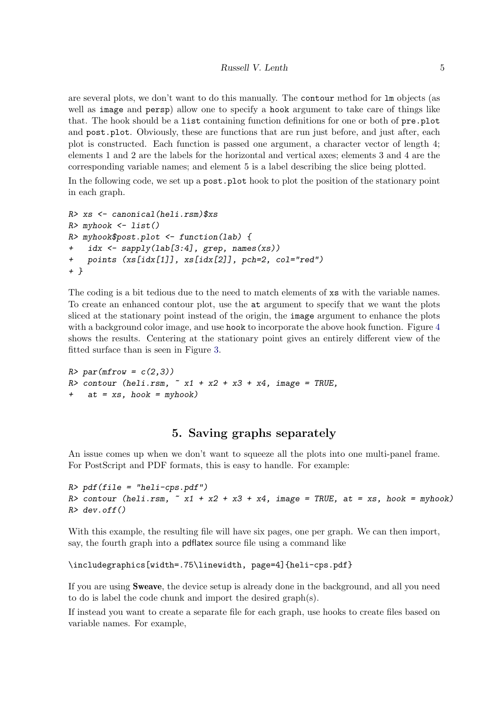are several plots, we don't want to do this manually. The contour method for lm objects (as well as image and persp) allow one to specify a hook argument to take care of things like that. The hook should be a list containing function definitions for one or both of pre.plot and post.plot. Obviously, these are functions that are run just before, and just after, each plot is constructed. Each function is passed one argument, a character vector of length 4; elements 1 and 2 are the labels for the horizontal and vertical axes; elements 3 and 4 are the corresponding variable names; and element 5 is a label describing the slice being plotted.

In the following code, we set up a **post**.**plot** hook to plot the position of the stationary point in each graph.

```
R> xs <- canonical(heli.rsm) xs
R> myhook <- list()
R> myhook$post.plot <- function(lab) {
    idx \leftarrow sapply(lab[3:4], grep, names(xs))
    points (xs[idx[1]], xs[idx[2]], pch=2, col="red")+ }
```
The coding is a bit tedious due to the need to match elements of xs with the variable names. To create an enhanced contour plot, use the at argument to specify that we want the plots sliced at the stationary point instead of the origin, the image argument to enhance the plots with a background color image, and use hook to incorporate the above hook function. Figure [4](#page-3-1) shows the results. Centering at the stationary point gives an entirely different view of the fitted surface than is seen in Figure [3.](#page-3-0)

 $R$ > par(mfrow =  $c(2,3)$ )  $R$ > contour (heli.rsm,  $\tilde{x}$  x1 + x2 + x3 + x4, image = TRUE,  $at = xs, hook = myhook)$ 

## 5. Saving graphs separately

An issue comes up when we don't want to squeeze all the plots into one multi-panel frame. For PostScript and PDF formats, this is easy to handle. For example:

```
R> pdf(file = "heli-cps.pdf")R> contour (heli.rsm, x + x2 + x3 + x4, image = TRUE, at = xs, hook = myhook)
R > dev.off()
```
With this example, the resulting file will have six pages, one per graph. We can then import, say, the fourth graph into a pdflatex source file using a command like

```
\includegraphics[width=.75\linewidth, page=4]{heli-cps.pdf}
```
If you are using Sweave, the device setup is already done in the background, and all you need to do is label the code chunk and import the desired graph(s).

If instead you want to create a separate file for each graph, use hooks to create files based on variable names. For example,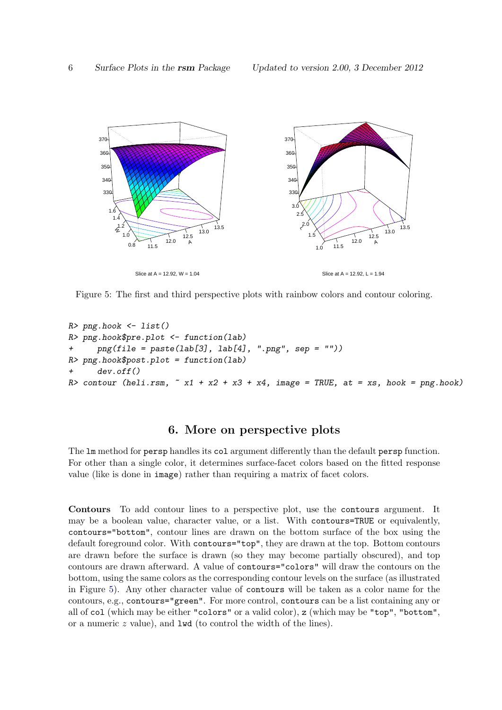

<span id="page-5-0"></span>Figure 5: The first and third perspective plots with rainbow colors and contour coloring.

```
R> png.hook <- list()
R> png.hook$pre.plot <- function(lab)
+ png(file = paste(lab[3], lab[4], " . png", sep = "")R> png.hook$post.plot = function(lab)
+ dev.off()
R> contour (heli.rsm, x + x2 + x3 + x4, image = TRUE, at = xs, hook = png.hook)
```
#### 6. More on perspective plots

The lm method for persp handles its col argument differently than the default persp function. For other than a single color, it determines surface-facet colors based on the fitted response value (like is done in image) rather than requiring a matrix of facet colors.

Contours To add contour lines to a perspective plot, use the contours argument. It may be a boolean value, character value, or a list. With contours=TRUE or equivalently, contours="bottom", contour lines are drawn on the bottom surface of the box using the default foreground color. With contours="top", they are drawn at the top. Bottom contours are drawn before the surface is drawn (so they may become partially obscured), and top contours are drawn afterward. A value of contours="colors" will draw the contours on the bottom, using the same colors as the corresponding contour levels on the surface (as illustrated in Figure [5\)](#page-5-0). Any other character value of contours will be taken as a color name for the contours, e.g., contours="green". For more control, contours can be a list containing any or all of col (which may be either "colors" or a valid color), z (which may be "top", "bottom", or a numeric z value), and lwd (to control the width of the lines).